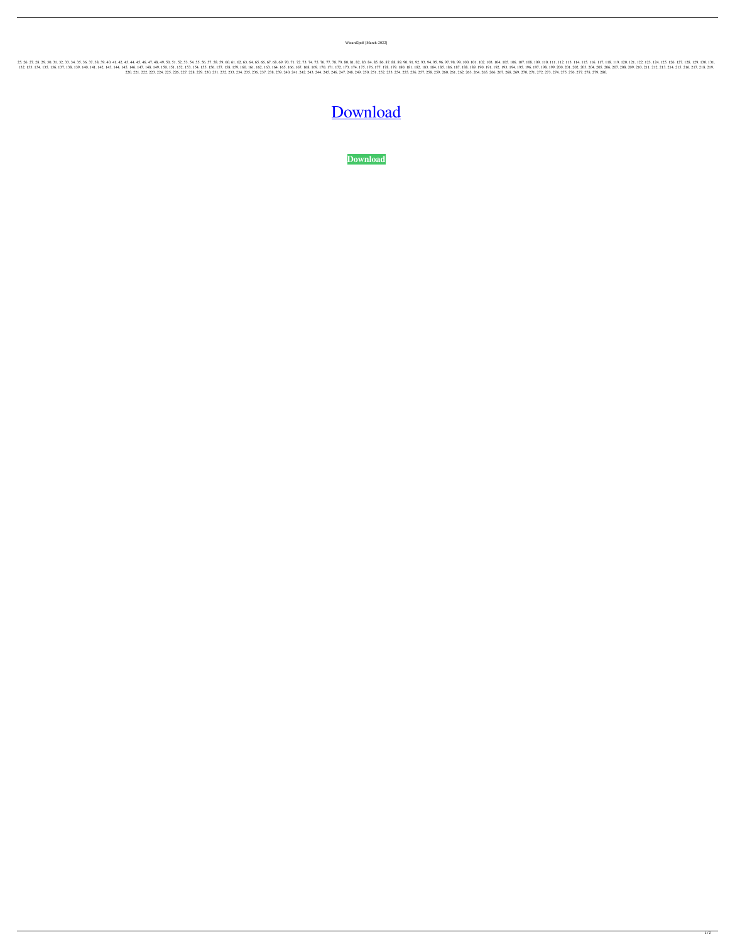Wizard2pdf [March-2022]

25.26.27.28.29.30.31.32.33.34.35.36.37.38.39.40.41.42.43.44.45.46.47.48.49.50.51.52.53.54.55.56.57.58.59.60.61.62.63.64.65.66.67.68.69.70.71.72.73.74.75.76.77.78.79.80.81.82.83.84.95.90.91.00.101.102.103.104.105.106.107.108 132, 133, 134, 135, 136, 137, 138, 139, 140, 141, 142, 143, 144, 145, 144, 145, 144, 145, 144, 145, 146, 147, 148, 150, 151, 152, 153, 154, 155, 156, 157, 158, 164, 165, 160, 161, 162, 163, 164, 165, 168, 169, 160, 161, 162 220, 221, 222, 223, 224, 225, 226, 227, 228, 229, 228, 229, 230, 231, 232, 233, 234, 235, 236, 237, 238, 239, 240, 241, 242, 243, 244, 245, 246, 247, 248, 249, 250, 251, 252, 253, 254, 255, 256, 257, 258, 259, 260, 261, 262

## [Download](http://evacdir.com/V2l6YXJkMnBkZgV2l.digitalis/ZG93bmxvYWR8cEQ1TWpSdmEzeDhNVFkxTWpRMk16QTFNSHg4TWpVM05IeDhLRTBwSUhKbFlXUXRZbXh2WnlCYlJtRnpkQ0JIUlU1ZA/erosion/lynee.pastas?epistemology=maxima)

**[Download](http://evacdir.com/V2l6YXJkMnBkZgV2l.digitalis/ZG93bmxvYWR8cEQ1TWpSdmEzeDhNVFkxTWpRMk16QTFNSHg4TWpVM05IeDhLRTBwSUhKbFlXUXRZbXh2WnlCYlJtRnpkQ0JIUlU1ZA/erosion/lynee.pastas?epistemology=maxima)**